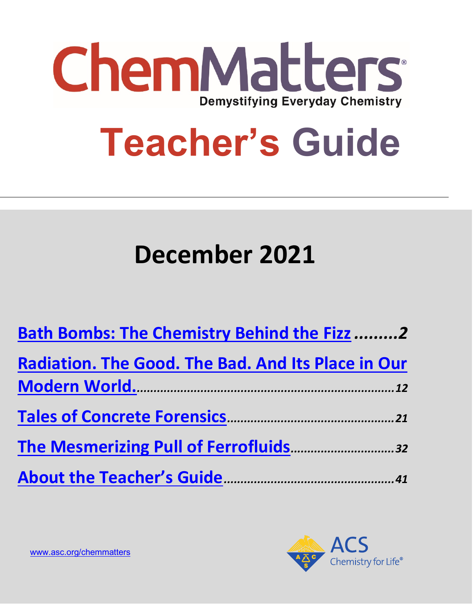

# **Teacher's Guide**

# **December 2021**

| <b>Bath Bombs: The Chemistry Behind the Fizz 2</b>        |
|-----------------------------------------------------------|
| <b>Radiation. The Good. The Bad. And Its Place in Our</b> |
|                                                           |
|                                                           |
|                                                           |
|                                                           |

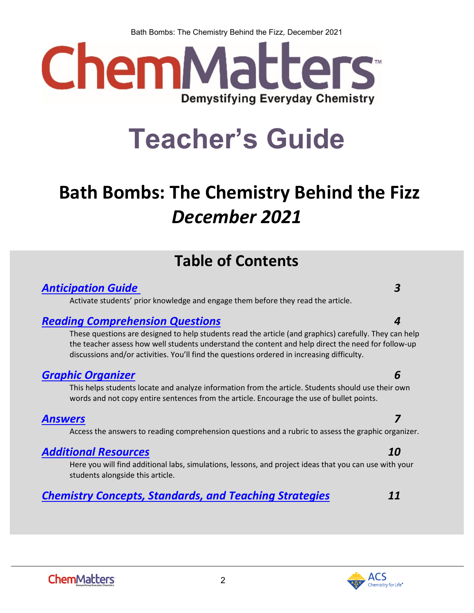Bath Bombs: The Chemistry Behind the Fizz*,* December 2021



# **Teacher's Guide**

# <span id="page-1-0"></span>**Bath Bombs: The Chemistry Behind the Fizz** *December 2021*

# **Table of Contents**

### *[Anticipation Guide 3](#page-2-0)*

Activate students' prior knowledge and engage them before they read the article.

### *[Reading Comprehension Questions](#page-3-0) 4*

These questions are designed to help students read the article (and graphics) carefully. They can help the teacher assess how well students understand the content and help direct the need for follow-up discussions and/or activities. You'll find the questions ordered in increasing difficulty.

### *[Graphic Organizer](#page-5-0) 6*

This helps students locate and analyze information from the article. Students should use their own words and not copy entire sentences from the article. Encourage the use of bullet points.

### *[Answers](#page-6-0) 7*

Access the answers to reading comprehension questions and a rubric to assess the graphic organizer.

### *[Additional Resources](#page-9-0) 10*

Here you will find additional labs, simulations, lessons, and project ideas that you can use with your students alongside this article.

### *[Chemistry Concepts, Standards, and Teaching Strategies](#page-10-0) 11*

2

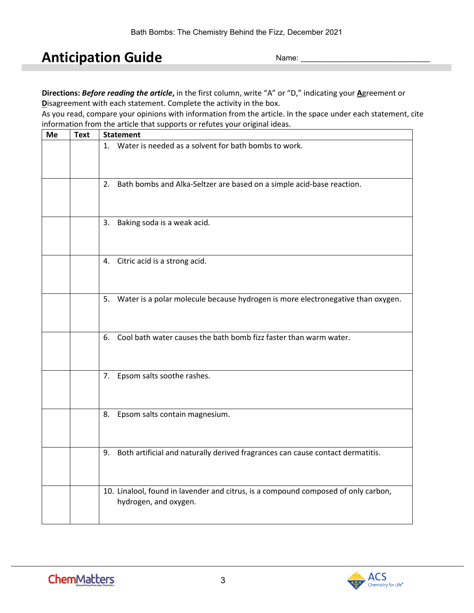# <span id="page-2-0"></span>**Anticipation Guide**

Name:

**Directions:** *Before reading the article***,** in the first column, write "A" or "D," indicating your **A**greement or **D**isagreement with each statement. Complete the activity in the box.

As you read, compare your opinions with information from the article. In the space under each statement, cite information from the article that supports or refutes your original ideas.

| Me | a article that oupp<br><b>Text</b><br><b>Statement</b> |                                                                                                             |
|----|--------------------------------------------------------|-------------------------------------------------------------------------------------------------------------|
|    |                                                        | 1. Water is needed as a solvent for bath bombs to work.                                                     |
|    |                                                        | 2. Bath bombs and Alka-Seltzer are based on a simple acid-base reaction.                                    |
|    |                                                        | 3. Baking soda is a weak acid.                                                                              |
|    |                                                        | 4. Citric acid is a strong acid.                                                                            |
|    |                                                        | 5. Water is a polar molecule because hydrogen is more electronegative than oxygen.                          |
|    |                                                        | 6. Cool bath water causes the bath bomb fizz faster than warm water.                                        |
|    |                                                        | 7. Epsom salts soothe rashes.                                                                               |
|    |                                                        | 8. Epsom salts contain magnesium.                                                                           |
|    |                                                        | 9. Both artificial and naturally derived fragrances can cause contact dermatitis.                           |
|    |                                                        | 10. Linalool, found in lavender and citrus, is a compound composed of only carbon,<br>hydrogen, and oxygen. |

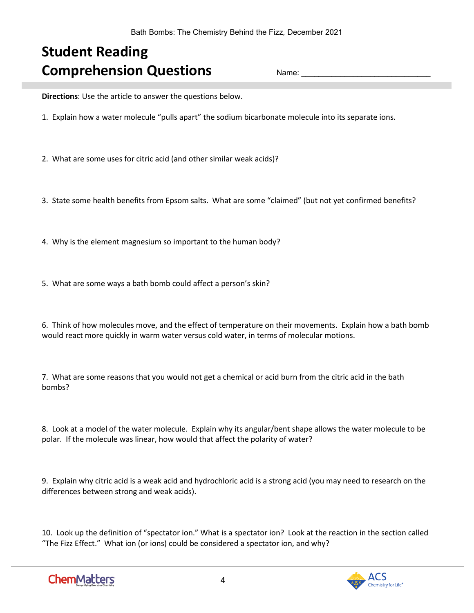# <span id="page-3-0"></span>**Student Reading Comprehension Questions**

Name:

**Directions**: Use the article to answer the questions below.

1. Explain how a water molecule "pulls apart" the sodium bicarbonate molecule into its separate ions.

2. What are some uses for citric acid (and other similar weak acids)?

- 3. State some health benefits from Epsom salts. What are some "claimed" (but not yet confirmed benefits?
- 4. Why is the element magnesium so important to the human body?
- 5. What are some ways a bath bomb could affect a person's skin?

6. Think of how molecules move, and the effect of temperature on their movements. Explain how a bath bomb would react more quickly in warm water versus cold water, in terms of molecular motions.

7. What are some reasons that you would not get a chemical or acid burn from the citric acid in the bath bombs?

8. Look at a model of the water molecule. Explain why its angular/bent shape allows the water molecule to be polar. If the molecule was linear, how would that affect the polarity of water?

9. Explain why citric acid is a weak acid and hydrochloric acid is a strong acid (you may need to research on the differences between strong and weak acids).

10. Look up the definition of "spectator ion." What is a spectator ion? Look at the reaction in the section called "The Fizz Effect." What ion (or ions) could be considered a spectator ion, and why?

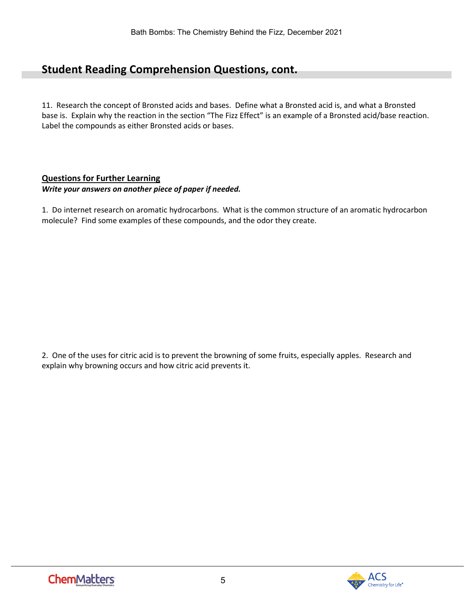### **Student Reading Comprehension Questions, cont.**

11. Research the concept of Bronsted acids and bases. Define what a Bronsted acid is, and what a Bronsted base is. Explain why the reaction in the section "The Fizz Effect" is an example of a Bronsted acid/base reaction. Label the compounds as either Bronsted acids or bases.

#### **Questions for Further Learning**

#### *Write your answers on another piece of paper if needed.*

1. Do internet research on aromatic hydrocarbons. What is the common structure of an aromatic hydrocarbon molecule? Find some examples of these compounds, and the odor they create.

2. One of the uses for citric acid is to prevent the browning of some fruits, especially apples. Research and explain why browning occurs and how citric acid prevents it.

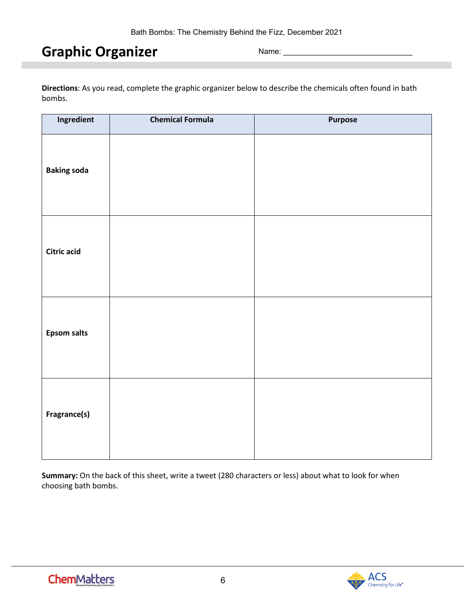# <span id="page-5-0"></span>**Graphic Organizer**

Name: \_\_\_\_\_\_\_\_\_\_\_\_\_\_\_\_\_\_\_\_\_\_\_\_\_\_\_\_\_\_

**Directions**: As you read, complete the graphic organizer below to describe the chemicals often found in bath bombs.

| Ingredient         | <b>Chemical Formula</b> | Purpose |
|--------------------|-------------------------|---------|
| <b>Baking soda</b> |                         |         |
| Citric acid        |                         |         |
| <b>Epsom salts</b> |                         |         |
| Fragrance(s)       |                         |         |

**Summary:** On the back of this sheet, write a tweet (280 characters or less) about what to look for when choosing bath bombs.

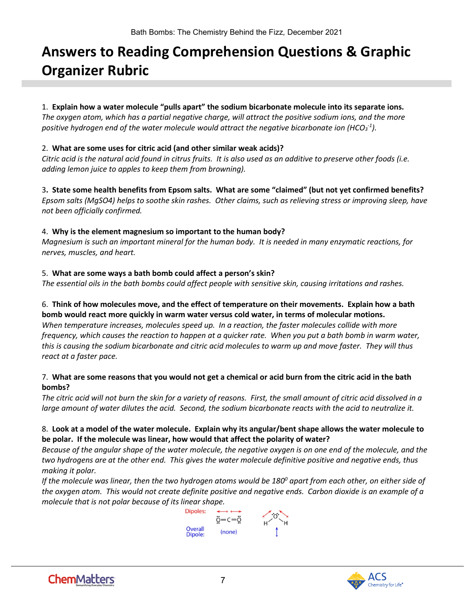# <span id="page-6-0"></span>**Answers to Reading Comprehension Questions & Graphic Organizer Rubric**

#### 1. **Explain how a water molecule "pulls apart" the sodium bicarbonate molecule into its separate ions.**

*The oxygen atom, which has a partial negative charge, will attract the positive sodium ions, and the more*  positive hydrogen end of the water molecule would attract the negative bicarbonate ion (HCO<sub>3</sub><sup>-1</sup>).

#### 2. **What are some uses for citric acid (and other similar weak acids)?**

*Citric acid is the natural acid found in citrus fruits. It is also used as an additive to preserve other foods (i.e. adding lemon juice to apples to keep them from browning).*

3**. State some health benefits from Epsom salts. What are some "claimed" (but not yet confirmed benefits?** *Epsom salts (MgSO4) helps to soothe skin rashes. Other claims, such as relieving stress or improving sleep, have not been officially confirmed.*

#### 4. **Why is the element magnesium so important to the human body?**

*Magnesium is such an important mineral for the human body. It is needed in many enzymatic reactions, for nerves, muscles, and heart.*

#### 5. **What are some ways a bath bomb could affect a person's skin?**

*The essential oils in the bath bombs could affect people with sensitive skin, causing irritations and rashes.*

#### 6. **Think of how molecules move, and the effect of temperature on their movements. Explain how a bath bomb would react more quickly in warm water versus cold water, in terms of molecular motions.**

*When temperature increases, molecules speed up. In a reaction, the faster molecules collide with more frequency, which causes the reaction to happen at a quicker rate. When you put a bath bomb in warm water, this is causing the sodium bicarbonate and citric acid molecules to warm up and move faster. They will thus react at a faster pace.*

#### 7. **What are some reasons that you would not get a chemical or acid burn from the citric acid in the bath bombs?**

*The citric acid will not burn the skin for a variety of reasons. First, the small amount of citric acid dissolved in a large amount of water dilutes the acid. Second, the sodium bicarbonate reacts with the acid to neutralize it.* 

#### 8. **Look at a model of the water molecule. Explain why its angular/bent shape allows the water molecule to be polar. If the molecule was linear, how would that affect the polarity of water?**

*Because of the angular shape of the water molecule, the negative oxygen is on one end of the molecule, and the two hydrogens are at the other end. This gives the water molecule definitive positive and negative ends, thus making it polar.* 

*If the molecule was linear, then the two hydrogen atoms would be 1800 apart from each other, on either side of the oxygen atom. This would not create definite positive and negative ends. Carbon dioxide is an example of a molecule that is not polar because of its linear shape.*



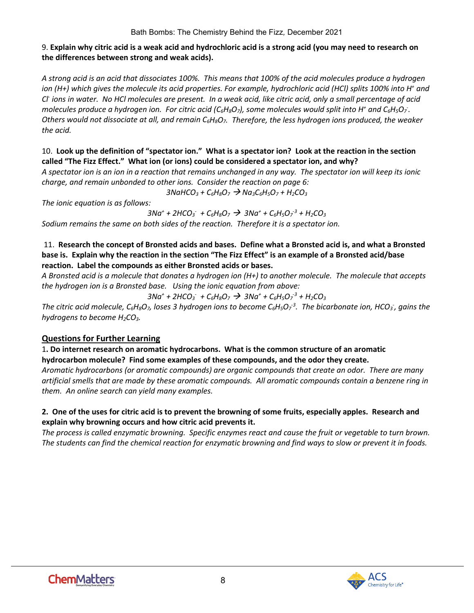#### 9. **Explain why citric acid is a weak acid and hydrochloric acid is a strong acid (you may need to research on the differences between strong and weak acids).**

*A strong acid is an acid that dissociates 100%. This means that 100% of the acid molecules produce a hydrogen ion (H+) which gives the molecule its acid properties. For example, hydrochloric acid (HCl) splits 100% into H+ and Cl- ions in water. No HCl molecules are present. In a weak acid, like citric acid, only a small percentage of acid molecules produce a hydrogen ion. For citric acid (C<sub>6</sub>H<sub>8</sub>O<sub>7</sub>), some molecules would split into H<sup>+</sup> and C<sub>6</sub>H<sub>5</sub>O<sub>7</sub>. Others would not dissociate at all, and remain C6H8O7. Therefore, the less hydrogen ions produced, the weaker the acid.*

#### 10. **Look up the definition of "spectator ion." What is a spectator ion? Look at the reaction in the section called "The Fizz Effect." What ion (or ions) could be considered a spectator ion, and why?**

*A spectator ion is an ion in a reaction that remains unchanged in any way. The spectator ion will keep its ionic charge, and remain unbonded to other ions. Consider the reaction on page 6:*

 $3N$ aHCO<sub>3</sub> + C<sub>6</sub>H<sub>8</sub>O<sub>7</sub>  $\rightarrow$  Na<sub>3</sub>C<sub>6</sub>H<sub>5</sub>O<sub>7</sub> + H<sub>2</sub>CO<sub>3</sub>

*The ionic equation is as follows:*

*3Na+ + 2HCO3 - + C6H8O7 3Na+ + C6H5O7 -3 + H2CO3 Sodium remains the same on both sides of the reaction. Therefore it is a spectator ion.* 

#### 11. **Research the concept of Bronsted acids and bases. Define what a Bronsted acid is, and what a Bronsted base is. Explain why the reaction in the section "The Fizz Effect" is an example of a Bronsted acid/base reaction. Label the compounds as either Bronsted acids or bases.**

*A Bronsted acid is a molecule that donates a hydrogen ion (H+) to another molecule. The molecule that accepts the hydrogen ion is a Bronsted base. Using the ionic equation from above:*

*3Na+ + 2HCO3 - + C6H8O7 3Na+ + C6H5O7 -3 + H2CO3*

*The citric acid molecule, C<sub>6</sub>H<sub>8</sub>O<sub>7</sub>, loses 3 hydrogen ions to become C<sub>6</sub>H<sub>5</sub>O<sub>7</sub><sup>3</sup>. The bicarbonate ion, HCO<sub>3</sub>, gains the hydrogens to become H2CO3.* 

#### **Questions for Further Learning**

1**. Do internet research on aromatic hydrocarbons. What is the common structure of an aromatic hydrocarbon molecule? Find some examples of these compounds, and the odor they create.**

*Aromatic hydrocarbons (or aromatic compounds) are organic compounds that create an odor. There are many artificial smells that are made by these aromatic compounds. All aromatic compounds contain a benzene ring in them. An online search can yield many examples.*

#### **2. One of the uses for citric acid is to prevent the browning of some fruits, especially apples. Research and explain why browning occurs and how citric acid prevents it.**

*The process is called enzymatic browning. Specific enzymes react and cause the fruit or vegetable to turn brown. The students can find the chemical reaction for enzymatic browning and find ways to slow or prevent it in foods.*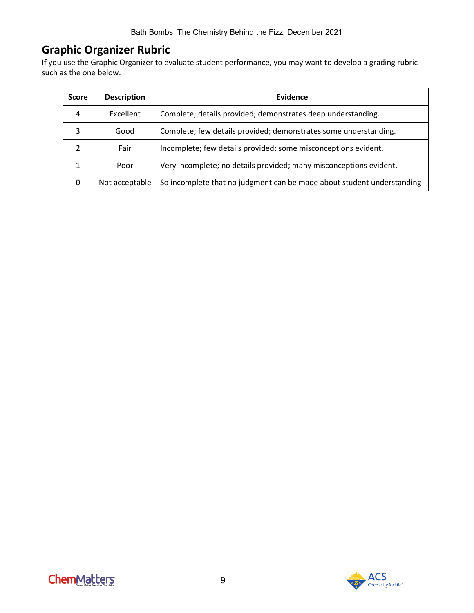## **Graphic Organizer Rubric**

If you use the Graphic Organizer to evaluate student performance, you may want to develop a grading rubric such as the one below.

| <b>Score</b> | <b>Description</b> | <b>Evidence</b>                                                        |
|--------------|--------------------|------------------------------------------------------------------------|
| 4            | Excellent          | Complete; details provided; demonstrates deep understanding.           |
| 3            | Good               | Complete; few details provided; demonstrates some understanding.       |
|              | Fair               | Incomplete; few details provided; some misconceptions evident.         |
|              | Poor               | Very incomplete; no details provided; many misconceptions evident.     |
| 0            | Not acceptable     | So incomplete that no judgment can be made about student understanding |

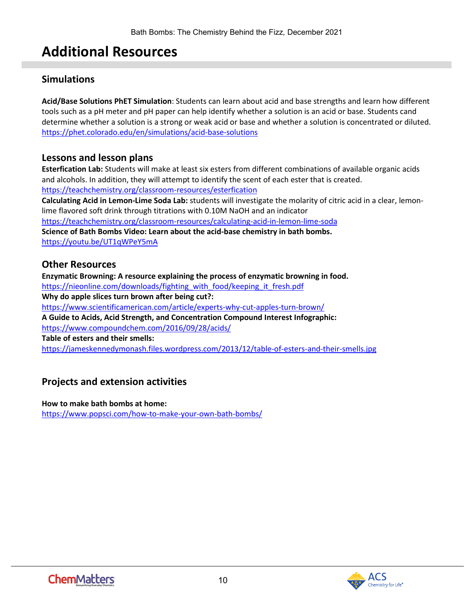# **Additional Resources**

#### <span id="page-9-0"></span>**Simulations**

**Acid/Base Solutions PhET Simulation**: Students can learn about acid and base strengths and learn how different tools such as a pH meter and pH paper can help identify whether a solution is an acid or base. Students cand determine whether a solution is a strong or weak acid or base and whether a solution is concentrated or diluted. <https://phet.colorado.edu/en/simulations/acid-base-solutions>

#### **Lessons and lesson plans**

**Esterfication Lab:** Students will make at least six esters from different combinations of available organic acids and alcohols. In addition, they will attempt to identify the scent of each ester that is created. <https://teachchemistry.org/classroom-resources/esterfication>

**Calculating Acid in Lemon-Lime Soda Lab:** students will investigate the molarity of citric acid in a clear, lemonlime flavored soft drink through titrations with 0.10M NaOH and an indicator

<https://teachchemistry.org/classroom-resources/calculating-acid-in-lemon-lime-soda>

**Science of Bath Bombs Video: Learn about the acid-base chemistry in bath bombs.** <https://youtu.be/UT1qWPeY5mA>

#### **Other Resources**

**Enzymatic Browning: A resource explaining the process of enzymatic browning in food.** [https://nieonline.com/downloads/fighting\\_with\\_food/keeping\\_it\\_fresh.pdf](https://nieonline.com/downloads/fighting_with_food/keeping_it_fresh.pdf) **Why do apple slices turn brown after being cut?:**  <https://www.scientificamerican.com/article/experts-why-cut-apples-turn-brown/> **A Guide to Acids, Acid Strength, and Concentration Compound Interest Infographic:**  <https://www.compoundchem.com/2016/09/28/acids/> **Table of esters and their smells:** <https://jameskennedymonash.files.wordpress.com/2013/12/table-of-esters-and-their-smells.jpg>

### **Projects and extension activities**

**How to make bath bombs at home:**  <https://www.popsci.com/how-to-make-your-own-bath-bombs/>

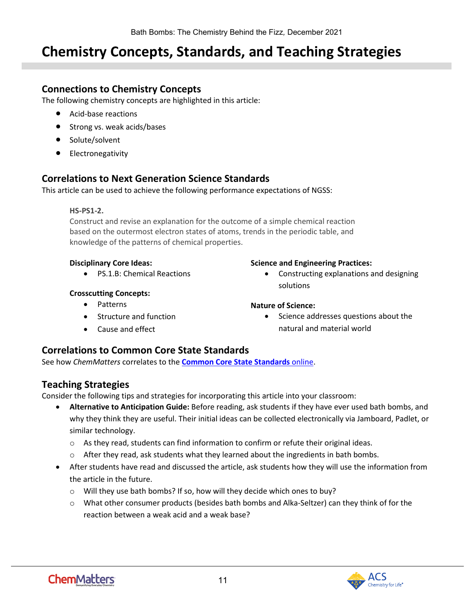# <span id="page-10-0"></span>**Chemistry Concepts, Standards, and Teaching Strategies**

#### **Connections to Chemistry Concepts**

The following chemistry concepts are highlighted in this article:

- Acid-base reactions
- Strong vs. weak acids/bases
- Solute/solvent
- Electronegativity

#### **Correlations to Next Generation Science Standards**

This article can be used to achieve the following performance expectations of NGSS:

#### **HS-PS1-2.**

Construct and revise an explanation for the outcome of a simple chemical reaction based on the outermost electron states of atoms, trends in the periodic table, and knowledge of the patterns of chemical properties.

#### **Disciplinary Core Ideas:**

• PS.1.B: Chemical Reactions

#### **Crosscutting Concepts:**

- Patterns
- Structure and function
- Cause and effect

#### **Science and Engineering Practices:**

• Constructing explanations and designing solutions

#### **Nature of Science:**

• Science addresses questions about the natural and material world

#### **Correlations to Common Core State Standards**

See how *ChemMatters* correlates to the **[Common Core State Standards](https://www.acs.org/content/acs/en/education/resources/highschool/chemmatters/teachers-guide.html)** online.

#### **Teaching Strategies**

Consider the following tips and strategies for incorporating this article into your classroom:

- **Alternative to Anticipation Guide:** Before reading, ask students if they have ever used bath bombs, and why they think they are useful. Their initial ideas can be collected electronically via Jamboard, Padlet, or similar technology.
	- $\circ$  As they read, students can find information to confirm or refute their original ideas.
	- $\circ$  After they read, ask students what they learned about the ingredients in bath bombs.
- After students have read and discussed the article, ask students how they will use the information from the article in the future.
	- o Will they use bath bombs? If so, how will they decide which ones to buy?
	- o What other consumer products (besides bath bombs and Alka-Seltzer) can they think of for the reaction between a weak acid and a weak base?

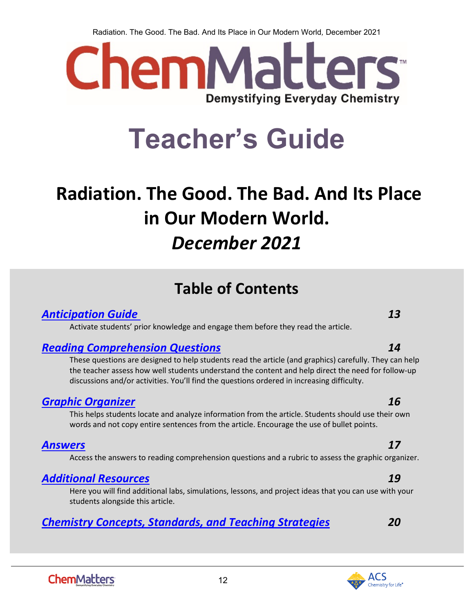Radiation. The Good. The Bad. And Its Place in Our Modern World*,* December 2021



# **Teacher's Guide**

# <span id="page-11-0"></span>**Radiation. The Good. The Bad. And Its Place in Our Modern World.**  *December 2021*

# **Table of Contents**

### *[Anticipation Guide 1](#page-12-0)3*

Activate students' prior knowledge and engage them before they read the article.

### *[Reading Comprehension Questions](#page-13-0) 14*

These questions are designed to help students read the article (and graphics) carefully. They can help the teacher assess how well students understand the content and help direct the need for follow-up discussions and/or activities. You'll find the questions ordered in increasing difficulty.

### *[Graphic Organizer](#page-15-0) 16*

This helps students locate and analyze information from the article. Students should use their own words and not copy entire sentences from the article. Encourage the use of bullet points.

### *[Answers](#page-16-0) 17*

Access the answers to reading comprehension questions and a rubric to assess the graphic organizer.

### *[Additional Resources](#page-18-0) 19*

Here you will find additional labs, simulations, lessons, and project ideas that you can use with your students alongside this article.

12

## *[Chemistry Concepts, Standards, and Teaching Strategies](#page-19-0) 20*



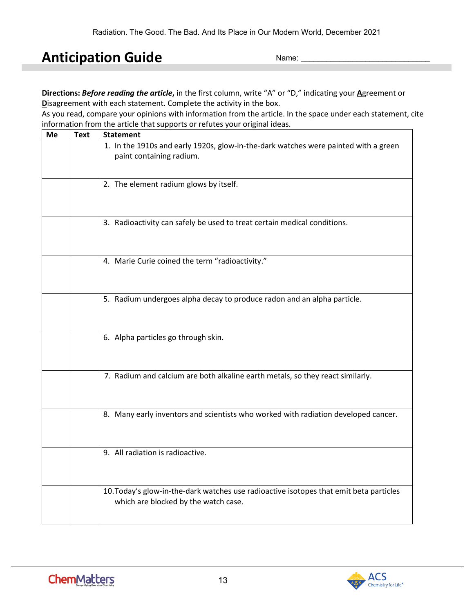# <span id="page-12-0"></span>**Anticipation Guide**

Name:

**Directions:** *Before reading the article***,** in the first column, write "A" or "D," indicating your **A**greement or **D**isagreement with each statement. Complete the activity in the box.

As you read, compare your opinions with information from the article. In the space under each statement, cite information from the article that supports or refutes your original ideas.

| Me | <b>Text</b> | <b>Statement</b>                                                                                                               |
|----|-------------|--------------------------------------------------------------------------------------------------------------------------------|
|    |             | 1. In the 1910s and early 1920s, glow-in-the-dark watches were painted with a green<br>paint containing radium.                |
|    |             | 2. The element radium glows by itself.                                                                                         |
|    |             | 3. Radioactivity can safely be used to treat certain medical conditions.                                                       |
|    |             | 4. Marie Curie coined the term "radioactivity."                                                                                |
|    |             | 5. Radium undergoes alpha decay to produce radon and an alpha particle.                                                        |
|    |             | 6. Alpha particles go through skin.                                                                                            |
|    |             | 7. Radium and calcium are both alkaline earth metals, so they react similarly.                                                 |
|    |             | 8. Many early inventors and scientists who worked with radiation developed cancer.                                             |
|    |             | 9. All radiation is radioactive.                                                                                               |
|    |             | 10. Today's glow-in-the-dark watches use radioactive isotopes that emit beta particles<br>which are blocked by the watch case. |



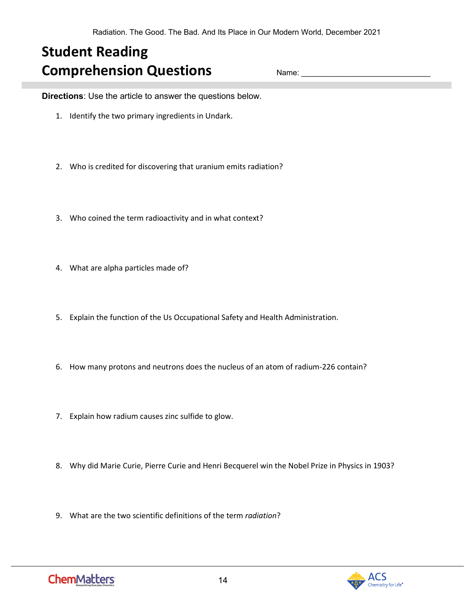# <span id="page-13-0"></span>**Student Reading Comprehension Questions**

Name:

**Directions**: Use the article to answer the questions below.

- 1. Identify the two primary ingredients in Undark.
- 2. Who is credited for discovering that uranium emits radiation?
- 3. Who coined the term radioactivity and in what context?
- 4. What are alpha particles made of?
- 5. Explain the function of the Us Occupational Safety and Health Administration.
- 6. How many protons and neutrons does the nucleus of an atom of radium-226 contain?
- 7. Explain how radium causes zinc sulfide to glow.
- 8. Why did Marie Curie, Pierre Curie and Henri Becquerel win the Nobel Prize in Physics in 1903?
- 9. What are the two scientific definitions of the term *radiation*?

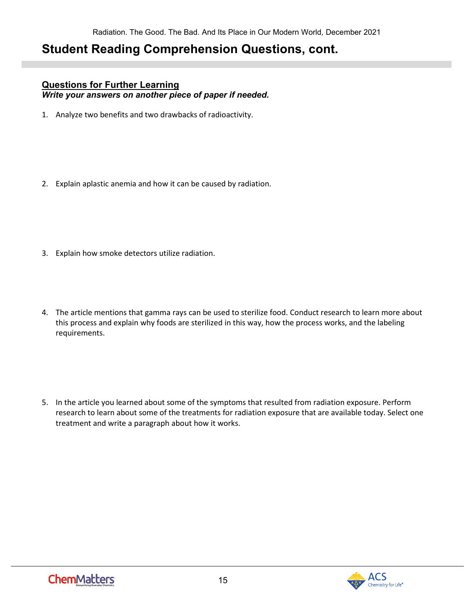## **Student Reading Comprehension Questions, cont.**

#### **Questions for Further Learning**

*Write your answers on another piece of paper if needed.*

- 1. Analyze two benefits and two drawbacks of radioactivity.
- 2. Explain aplastic anemia and how it can be caused by radiation.
- 3. Explain how smoke detectors utilize radiation.
- 4. The article mentions that gamma rays can be used to sterilize food. Conduct research to learn more about this process and explain why foods are sterilized in this way, how the process works, and the labeling requirements.
- 5. In the article you learned about some of the symptoms that resulted from radiation exposure. Perform research to learn about some of the treatments for radiation exposure that are available today. Select one treatment and write a paragraph about how it works.

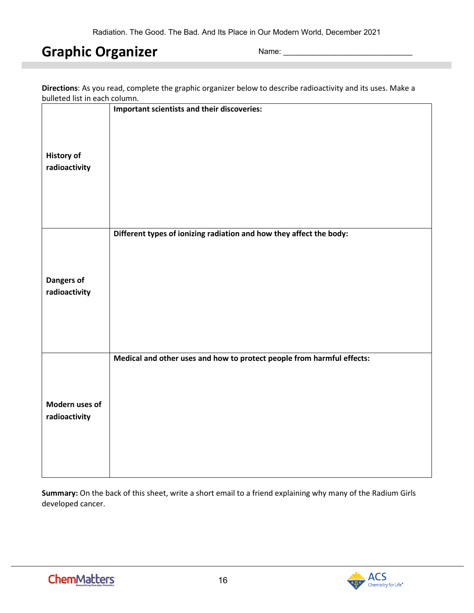# <span id="page-15-0"></span>**Graphic Organizer**

Name:

| Directions: As you read, complete the graphic organizer below to describe radioactivity and its uses. Make a |  |
|--------------------------------------------------------------------------------------------------------------|--|
| bulleted list in each column.                                                                                |  |

|                   | Important scientists and their discoveries:                            |
|-------------------|------------------------------------------------------------------------|
| <b>History of</b> |                                                                        |
| radioactivity     |                                                                        |
|                   |                                                                        |
|                   |                                                                        |
|                   | Different types of ionizing radiation and how they affect the body:    |
|                   |                                                                        |
| <b>Dangers of</b> |                                                                        |
| radioactivity     |                                                                        |
|                   |                                                                        |
|                   |                                                                        |
|                   | Medical and other uses and how to protect people from harmful effects: |
|                   |                                                                        |
| Modern uses of    |                                                                        |
| radioactivity     |                                                                        |
|                   |                                                                        |
|                   |                                                                        |

**Summary:** On the back of this sheet, write a short email to a friend explaining why many of the Radium Girls developed cancer.

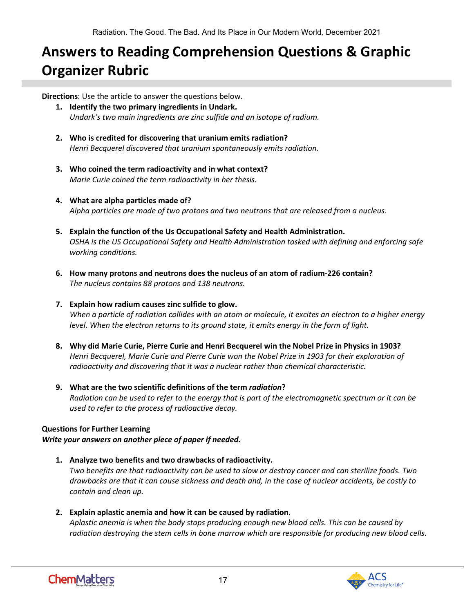# <span id="page-16-0"></span>**Answers to Reading Comprehension Questions & Graphic Organizer Rubric**

**Directions**: Use the article to answer the questions below.

- **1. Identify the two primary ingredients in Undark.** *Undark's two main ingredients are zinc sulfide and an isotope of radium.*
- **2. Who is credited for discovering that uranium emits radiation?** *Henri Becquerel discovered that uranium spontaneously emits radiation.*
- **3. Who coined the term radioactivity and in what context?** *Marie Curie coined the term radioactivity in her thesis.*
- **4. What are alpha particles made of?** *Alpha particles are made of two protons and two neutrons that are released from a nucleus.*
- **5. Explain the function of the Us Occupational Safety and Health Administration.** *OSHA is the US Occupational Safety and Health Administration tasked with defining and enforcing safe working conditions.*
- **6. How many protons and neutrons does the nucleus of an atom of radium-226 contain?** *The nucleus contains 88 protons and 138 neutrons.*

#### **7. Explain how radium causes zinc sulfide to glow.**

*When a particle of radiation collides with an atom or molecule, it excites an electron to a higher energy level. When the electron returns to its ground state, it emits energy in the form of light.*

- **8. Why did Marie Curie, Pierre Curie and Henri Becquerel win the Nobel Prize in Physics in 1903?** *Henri Becquerel, Marie Curie and Pierre Curie won the Nobel Prize in 1903 for their exploration of radioactivity and discovering that it was a nuclear rather than chemical characteristic.*
- **9. What are the two scientific definitions of the term** *radiation***?** *Radiation can be used to refer to the energy that is part of the electromagnetic spectrum or it can be used to refer to the process of radioactive decay.*

#### **Questions for Further Learning**

*Write your answers on another piece of paper if needed.*

- **1. Analyze two benefits and two drawbacks of radioactivity.** *Two benefits are that radioactivity can be used to slow or destroy cancer and can sterilize foods. Two drawbacks are that it can cause sickness and death and, in the case of nuclear accidents, be costly to contain and clean up.*
- **2. Explain aplastic anemia and how it can be caused by radiation.** *Aplastic anemia is when the body stops producing enough new blood cells. This can be caused by radiation destroying the stem cells in bone marrow which are responsible for producing new blood cells.*

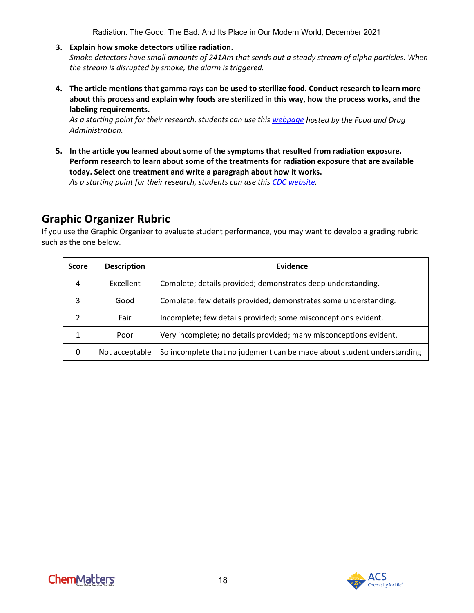Radiation. The Good. The Bad. And Its Place in Our Modern World*,* December 2021

**3. Explain how smoke detectors utilize radiation.**

*Smoke detectors have small amounts of 241Am that sends out a steady stream of alpha particles. When the stream is disrupted by smoke, the alarm is triggered.*

**4. The article mentions that gamma rays can be used to sterilize food. Conduct research to learn more about this process and explain why foods are sterilized in this way, how the process works, and the labeling requirements.**

*As a starting point for their research, students can use thi[s webpage](https://www.fda.gov/food/buy-store-serve-safe-food/food-irradiation-what-you-need-know) hosted by the Food and Drug Administration.*

**5. In the article you learned about some of the symptoms that resulted from radiation exposure. Perform research to learn about some of the treatments for radiation exposure that are available today. Select one treatment and write a paragraph about how it works.**

*As a starting point for their research, students can use thi[s CDC website.](https://www.cdc.gov/nceh/radiation/emergencies/countermeasures.htm)* 

### **Graphic Organizer Rubric**

If you use the Graphic Organizer to evaluate student performance, you may want to develop a grading rubric such as the one below.

| <b>Score</b>  | <b>Description</b> | Evidence                                                               |
|---------------|--------------------|------------------------------------------------------------------------|
| 4             | Excellent          | Complete; details provided; demonstrates deep understanding.           |
| 3             | Good               | Complete; few details provided; demonstrates some understanding.       |
| $\mathcal{P}$ | Fair               | Incomplete; few details provided; some misconceptions evident.         |
| 1             | Poor               | Very incomplete; no details provided; many misconceptions evident.     |
| 0             | Not acceptable     | So incomplete that no judgment can be made about student understanding |

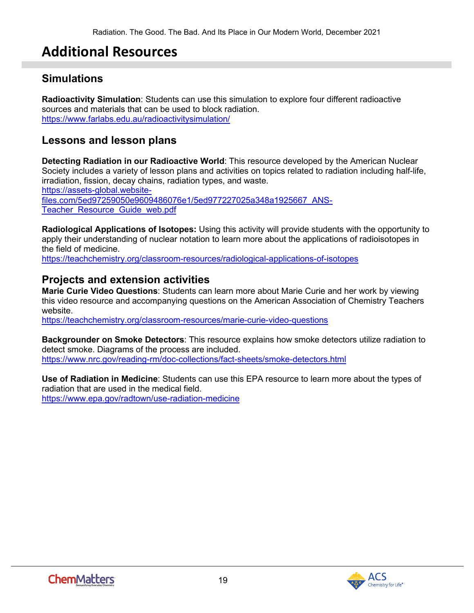# **Additional Resources**

### <span id="page-18-0"></span>**Simulations**

**Radioactivity Simulation**: Students can use this simulation to explore four different radioactive sources and materials that can be used to block radiation. <https://www.farlabs.edu.au/radioactivitysimulation/>

### **Lessons and lesson plans**

**Detecting Radiation in our Radioactive World**: This resource developed by the American Nuclear Society includes a variety of lesson plans and activities on topics related to radiation including half-life, irradiation, fission, decay chains, radiation types, and waste. [https://assets-global.website](https://assets-global.website-files.com/5ed97259050e9609486076e1/5ed977227025a348a1925667_ANS-Teacher_Resource_Guide_web.pdf)[files.com/5ed97259050e9609486076e1/5ed977227025a348a1925667\\_ANS-](https://assets-global.website-files.com/5ed97259050e9609486076e1/5ed977227025a348a1925667_ANS-Teacher_Resource_Guide_web.pdf)Teacher Resource Guide web.pdf

**Radiological Applications of Isotopes:** Using this activity will provide students with the opportunity to apply their understanding of nuclear notation to learn more about the applications of radioisotopes in the field of medicine.

<https://teachchemistry.org/classroom-resources/radiological-applications-of-isotopes>

### **Projects and extension activities**

**Marie Curie Video Questions**: Students can learn more about Marie Curie and her work by viewing this video resource and accompanying questions on the American Association of Chemistry Teachers website.

<https://teachchemistry.org/classroom-resources/marie-curie-video-questions>

**Backgrounder on Smoke Detectors**: This resource explains how smoke detectors utilize radiation to detect smoke. Diagrams of the process are included. <https://www.nrc.gov/reading-rm/doc-collections/fact-sheets/smoke-detectors.html>

**Use of Radiation in Medicine**: Students can use this EPA resource to learn more about the types of radiation that are used in the medical field. <https://www.epa.gov/radtown/use-radiation-medicine>

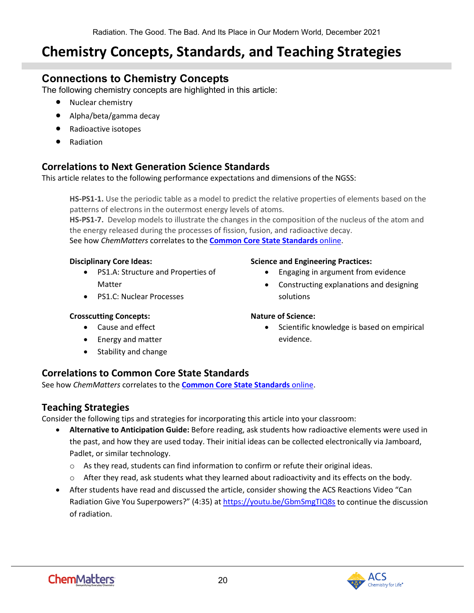# <span id="page-19-0"></span>**Chemistry Concepts, Standards, and Teaching Strategies**

### **Connections to Chemistry Concepts**

The following chemistry concepts are highlighted in this article:

- Nuclear chemistry
- Alpha/beta/gamma decay
- Radioactive isotopes
- Radiation

#### **Correlations to Next Generation Science Standards**

This article relates to the following performance expectations and dimensions of the NGSS:

**HS-PS1-1.** Use the periodic table as a model to predict the relative properties of elements based on the patterns of electrons in the outermost energy levels of atoms.

**HS-PS1-7.** Develop models to illustrate the changes in the composition of the nucleus of the atom and the energy released during the processes of fission, fusion, and radioactive decay. See how *ChemMatters* correlates to the **[Common Core State Standards](https://www.acs.org/content/acs/en/education/resources/highschool/chemmatters/teachers-guide.html)** online.

#### **Disciplinary Core Ideas:**

- PS1.A: Structure and Properties of **Matter**
- PS1.C: Nuclear Processes

#### **Crosscutting Concepts:**

- Cause and effect
- Energy and matter
- Stability and change

#### **Science and Engineering Practices:**

- Engaging in argument from evidence
- Constructing explanations and designing solutions

#### **Nature of Science:**

Scientific knowledge is based on empirical evidence.

#### **Correlations to Common Core State Standards**

See how *ChemMatters* correlates to the **[Common Core State Standards](https://www.acs.org/content/acs/en/education/resources/highschool/chemmatters/teachers-guide.html)** online.

#### **Teaching Strategies**

Consider the following tips and strategies for incorporating this article into your classroom:

- **Alternative to Anticipation Guide:** Before reading, ask students how radioactive elements were used in the past, and how they are used today. Their initial ideas can be collected electronically via Jamboard, Padlet, or similar technology.
	- $\circ$  As they read, students can find information to confirm or refute their original ideas.
	- $\circ$  After they read, ask students what they learned about radioactivity and its effects on the body.
- After students have read and discussed the article, consider showing the ACS Reactions Video "Can Radiation Give You Superpowers?" (4:35) at<https://youtu.be/GbmSmgTIQ8s> to continue the discussion of radiation.

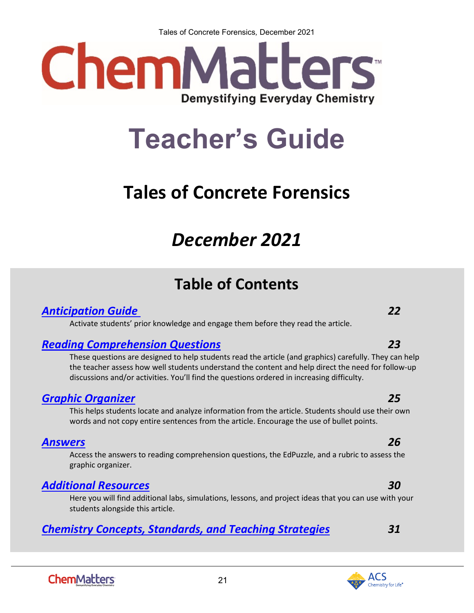Tales of Concrete Forensics*,* December 2021



# **Teacher's Guide**

# <span id="page-20-0"></span>**Tales of Concrete Forensics**

# *December 2021*

# **Table of Contents**

### *[Anticipation Guide 2](#page-21-0)2*

Activate students' prior knowledge and engage them before they read the article.

### *[Reading Comprehension Questions](#page-22-0) 23*

These questions are designed to help students read the article (and graphics) carefully. They can help the teacher assess how well students understand the content and help direct the need for follow-up discussions and/or activities. You'll find the questions ordered in increasing difficulty.

### *[Graphic Organizer](#page-24-0) 25*

This helps students locate and analyze information from the article. Students should use their own words and not copy entire sentences from the article. Encourage the use of bullet points.

### *[Answers](#page-25-0) 26*

Access the answers to reading comprehension questions, the EdPuzzle, and a rubric to assess the graphic organizer.

### *[Additional Resources](#page-29-0) 30*

Here you will find additional labs, simulations, lessons, and project ideas that you can use with your students alongside this article.

21

### *[Chemistry Concepts, Standards, and Teaching Strategies](#page-30-0) 31*

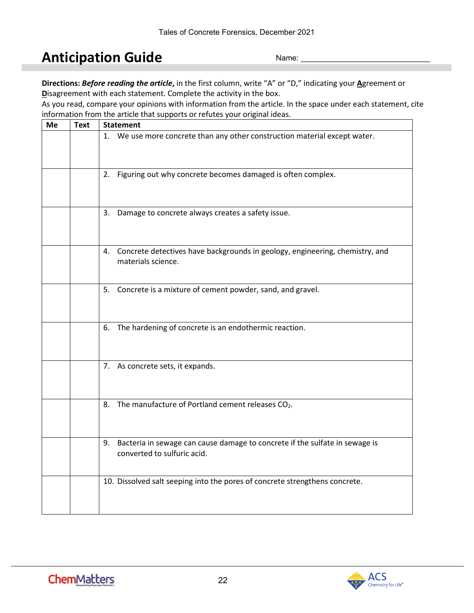# <span id="page-21-0"></span>**Anticipation Guide**

Name:

**Directions:** *Before reading the article***,** in the first column, write "A" or "D," indicating your **A**greement or **D**isagreement with each statement. Complete the activity in the box.

As you read, compare your opinions with information from the article. In the space under each statement, cite information from the article that supports or refutes your original ideas.

| Me | <b>Text</b> | <b>Statement</b>                                                                                              |  |
|----|-------------|---------------------------------------------------------------------------------------------------------------|--|
|    |             | 1. We use more concrete than any other construction material except water.                                    |  |
|    |             | 2. Figuring out why concrete becomes damaged is often complex.                                                |  |
|    |             | 3. Damage to concrete always creates a safety issue.                                                          |  |
|    |             | 4. Concrete detectives have backgrounds in geology, engineering, chemistry, and<br>materials science.         |  |
|    |             | 5. Concrete is a mixture of cement powder, sand, and gravel.                                                  |  |
|    |             | 6. The hardening of concrete is an endothermic reaction.                                                      |  |
|    |             | 7. As concrete sets, it expands.                                                                              |  |
|    |             | 8. The manufacture of Portland cement releases CO2.                                                           |  |
|    |             | 9. Bacteria in sewage can cause damage to concrete if the sulfate in sewage is<br>converted to sulfuric acid. |  |
|    |             | 10. Dissolved salt seeping into the pores of concrete strengthens concrete.                                   |  |

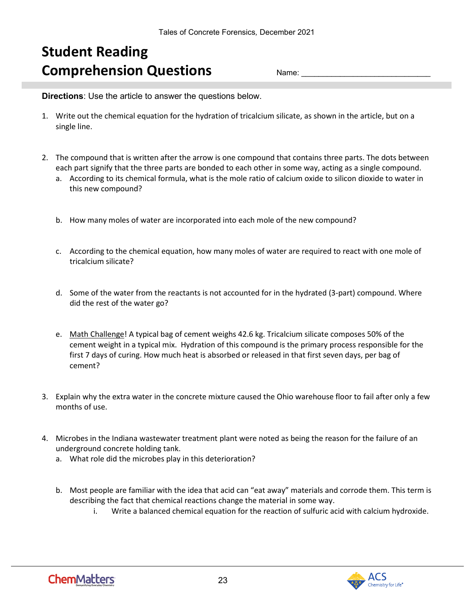# <span id="page-22-0"></span>**Student Reading Comprehension Questions**

Name:

**Directions**: Use the article to answer the questions below.

- 1. Write out the chemical equation for the hydration of tricalcium silicate, as shown in the article, but on a single line.
- 2. The compound that is written after the arrow is one compound that contains three parts. The dots between each part signify that the three parts are bonded to each other in some way, acting as a single compound.
	- a. According to its chemical formula, what is the mole ratio of calcium oxide to silicon dioxide to water in this new compound?
	- b. How many moles of water are incorporated into each mole of the new compound?
	- c. According to the chemical equation, how many moles of water are required to react with one mole of tricalcium silicate?
	- d. Some of the water from the reactants is not accounted for in the hydrated (3-part) compound. Where did the rest of the water go?
	- e. Math Challenge! A typical bag of cement weighs 42.6 kg. Tricalcium silicate composes 50% of the cement weight in a typical mix. Hydration of this compound is the primary process responsible for the first 7 days of curing. How much heat is absorbed or released in that first seven days, per bag of cement?
- 3. Explain why the extra water in the concrete mixture caused the Ohio warehouse floor to fail after only a few months of use.
- 4. Microbes in the Indiana wastewater treatment plant were noted as being the reason for the failure of an underground concrete holding tank.
	- a. What role did the microbes play in this deterioration?
	- b. Most people are familiar with the idea that acid can "eat away" materials and corrode them. This term is describing the fact that chemical reactions change the material in some way.
		- i. Write a balanced chemical equation for the reaction of sulfuric acid with calcium hydroxide.

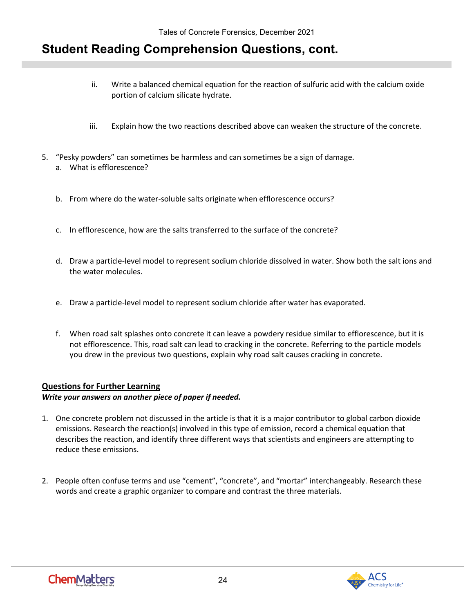## **Student Reading Comprehension Questions, cont.**

- ii. Write a balanced chemical equation for the reaction of sulfuric acid with the calcium oxide portion of calcium silicate hydrate.
- iii. Explain how the two reactions described above can weaken the structure of the concrete.
- 5. "Pesky powders" can sometimes be harmless and can sometimes be a sign of damage. a. What is efflorescence?
	- b. From where do the water-soluble salts originate when efflorescence occurs?
	- c. In efflorescence, how are the salts transferred to the surface of the concrete?
	- d. Draw a particle-level model to represent sodium chloride dissolved in water. Show both the salt ions and the water molecules.
	- e. Draw a particle-level model to represent sodium chloride after water has evaporated.
	- f. When road salt splashes onto concrete it can leave a powdery residue similar to efflorescence, but it is not efflorescence. This, road salt can lead to cracking in the concrete. Referring to the particle models you drew in the previous two questions, explain why road salt causes cracking in concrete.

#### **Questions for Further Learning**

#### *Write your answers on another piece of paper if needed.*

- 1. One concrete problem not discussed in the article is that it is a major contributor to global carbon dioxide emissions. Research the reaction(s) involved in this type of emission, record a chemical equation that describes the reaction, and identify three different ways that scientists and engineers are attempting to reduce these emissions.
- 2. People often confuse terms and use "cement", "concrete", and "mortar" interchangeably. Research these words and create a graphic organizer to compare and contrast the three materials.

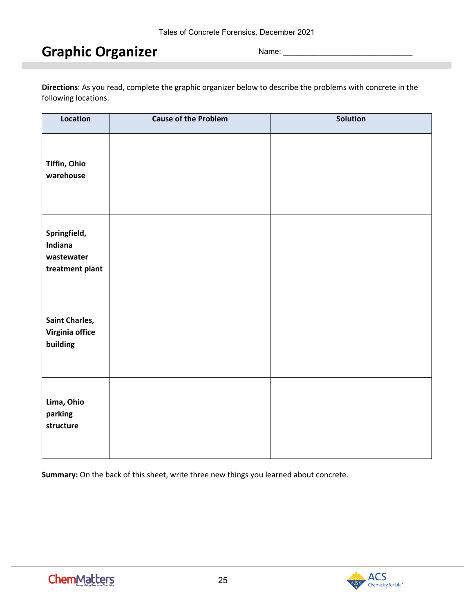# <span id="page-24-0"></span>**Graphic Organizer**

Name:

**Directions**: As you read, complete the graphic organizer below to describe the problems with concrete in the following locations.

| Location                                                 | <b>Cause of the Problem</b> | Solution |
|----------------------------------------------------------|-----------------------------|----------|
| Tiffin, Ohio<br>warehouse                                |                             |          |
| Springfield,<br>Indiana<br>wastewater<br>treatment plant |                             |          |
| <b>Saint Charles,</b><br>Virginia office<br>building     |                             |          |
| Lima, Ohio<br>parking<br>structure                       |                             |          |

**Summary:** On the back of this sheet, write three new things you learned about concrete.

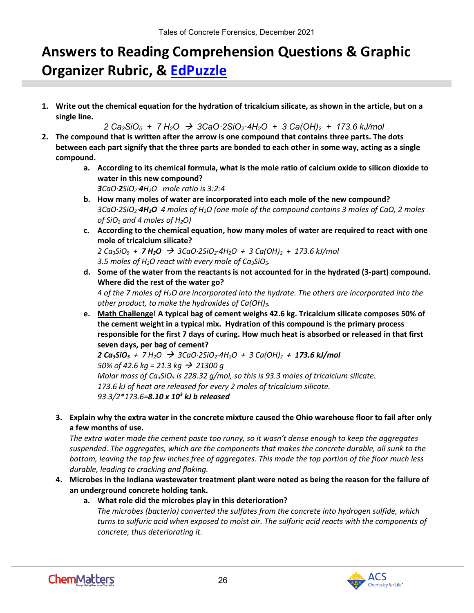# <span id="page-25-0"></span>**Answers to Reading Comprehension Questions & Graphic Organizer Rubric, & [EdPuzzle](https://edpuzzle.com/media/6192e4011ae0394171078b0a)**

**1. Write out the chemical equation for the hydration of tricalcium silicate, as shown in the article, but on a single line.**

*2 Ca3SiO5 + 7 H2O 3CaO·2SiO2·4H2O + 3 Ca(OH)2 + 173.6 kJ/mol*

- **2. The compound that is written after the arrow is one compound that contains three parts. The dots between each part signify that the three parts are bonded to each other in some way, acting as a single compound.**
	- **a. According to its chemical formula, what is the mole ratio of calcium oxide to silicon dioxide to water in this new compound?** *3CaO·2SiO2·4H2O mole ratio is 3:2:4*
	- **b. How many moles of water are incorporated into each mole of the new compound?** *3CaO·2SiO2·4H2O 4 moles of H2O (one mole of the compound contains 3 moles of CaO, 2 moles of SiO2 and 4 moles of H2O)*
	- **c. According to the chemical equation, how many moles of water are required to react with one mole of tricalcium silicate?**

*2 Ca3SiO5 + 7 H2O 3CaO·2SiO2·4H2O + 3 Ca(OH)2 + 173.6 kJ/mol 3.5 moles of H2O react with every mole of Ca3SiO5.*

**d. Some of the water from the reactants is not accounted for in the hydrated (3-part) compound. Where did the rest of the water go?**

*4 of the 7 moles of H2O are incorporated into the hydrate. The others are incorporated into the other product, to make the hydroxides of Ca(OH)3.*

**e. Math Challenge! A typical bag of cement weighs 42.6 kg. Tricalcium silicate composes 50% of the cement weight in a typical mix. Hydration of this compound is the primary process responsible for the first 7 days of curing. How much heat is absorbed or released in that first seven days, per bag of cement?**

 $2 \text{ Ca}_3$ SiO<sub>5</sub> + 7 H<sub>2</sub>O  $\rightarrow$  3CaO·2SiO<sub>2</sub>·4H<sub>2</sub>O + 3 Ca(OH)<sub>2</sub> + 173.6 kJ/mol *50% of 42.6 kg = 21.3 kg → 21300 g Molar mass of Ca3SiO5 is 228.32 g/mol, so this is 93.3 moles of tricalcium silicate. 173.6 kJ of heat are released for every 2 moles of tricalcium silicate. 93.3/2\*173.6=8.10 x 103 kJ b released*

**3. Explain why the extra water in the concrete mixture caused the Ohio warehouse floor to fail after only a few months of use.**

*The extra water made the cement paste too runny, so it wasn't dense enough to keep the aggregates suspended. The aggregates, which are the components that makes the concrete durable, all sunk to the bottom, leaving the top few inches free of aggregates. This made the top portion of the floor much less durable, leading to cracking and flaking.*

- **4. Microbes in the Indiana wastewater treatment plant were noted as being the reason for the failure of an underground concrete holding tank.**
	- **a. What role did the microbes play in this deterioration?** *The microbes (bacteria) converted the sulfates from the concrete into hydrogen sulfide, which turns to sulfuric acid when exposed to moist air. The sulfuric acid reacts with the components of concrete, thus deteriorating it.*

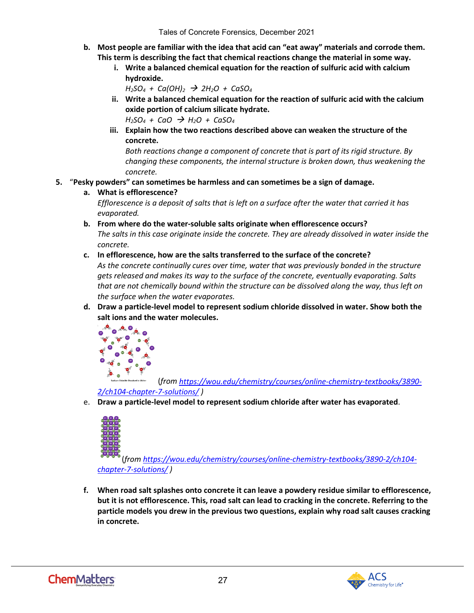- **b. Most people are familiar with the idea that acid can "eat away" materials and corrode them. This term is describing the fact that chemical reactions change the material in some way.** 
	- **i. Write a balanced chemical equation for the reaction of sulfuric acid with calcium hydroxide.**

```
H_2SO_4 + Ca(OH)_2 \rightarrow 2H_2O + CaSO_4
```
- **ii. Write a balanced chemical equation for the reaction of sulfuric acid with the calcium oxide portion of calcium silicate hydrate.**  $H_2SO_4 + CaO \rightarrow H_2O + CaSO_4$
- **iii. Explain how the two reactions described above can weaken the structure of the concrete.**

*Both reactions change a component of concrete that is part of its rigid structure. By changing these components, the internal structure is broken down, thus weakening the concrete.*

#### **5.** "**Pesky powders" can sometimes be harmless and can sometimes be a sign of damage.**

**a. What is efflorescence?**

*Efflorescence is a deposit of salts that is left on a surface after the water that carried it has evaporated.*

- **b. From where do the water-soluble salts originate when efflorescence occurs?** *The salts in this case originate inside the concrete. They are already dissolved in water inside the concrete.*
- **c. In efflorescence, how are the salts transferred to the surface of the concrete?**

*As the concrete continually cures over time, water that was previously bonded in the structure gets released and makes its way to the surface of the concrete, eventually evaporating. Salts that are not chemically bound within the structure can be dissolved along the way, thus left on the surface when the water evaporates.*

**d. Draw a particle-level model to represent sodium chloride dissolved in water. Show both the salt ions and the water molecules.**



(*from [https://wou.edu/chemistry/courses/online-chemistry-textbooks/3890-](https://wou.edu/chemistry/courses/online-chemistry-textbooks/3890-2/ch104-chapter-7-solutions/)*

#### *[2/ch104-chapter-7-solutions/](https://wou.edu/chemistry/courses/online-chemistry-textbooks/3890-2/ch104-chapter-7-solutions/) )*

e. **Draw a particle-level model to represent sodium chloride after water has evaporated**.



(*from [https://wou.edu/chemistry/courses/online-chemistry-textbooks/3890-2/ch104](https://wou.edu/chemistry/courses/online-chemistry-textbooks/3890-2/ch104-chapter-7-solutions/) [chapter-7-solutions/](https://wou.edu/chemistry/courses/online-chemistry-textbooks/3890-2/ch104-chapter-7-solutions/) )*

**f. When road salt splashes onto concrete it can leave a powdery residue similar to efflorescence, but it is not efflorescence. This, road salt can lead to cracking in the concrete. Referring to the particle models you drew in the previous two questions, explain why road salt causes cracking in concrete.**

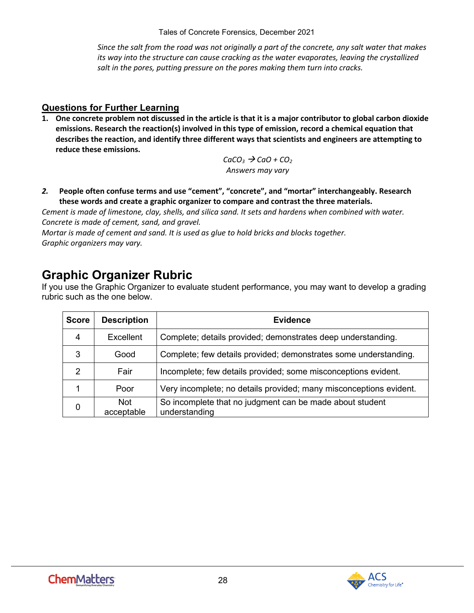Tales of Concrete Forensics*,* December 2021

*Since the salt from the road was not originally a part of the concrete, any salt water that makes its way into the structure can cause cracking as the water evaporates, leaving the crystallized salt in the pores, putting pressure on the pores making them turn into cracks.*

#### **Questions for Further Learning**

**1. One concrete problem not discussed in the article is that it is a major contributor to global carbon dioxide emissions. Research the reaction(s) involved in this type of emission, record a chemical equation that describes the reaction, and identify three different ways that scientists and engineers are attempting to reduce these emissions.**

> $CaCO<sub>3</sub> \rightarrow CaO + CO<sub>2</sub>$ *Answers may vary*

*2.* **People often confuse terms and use "cement", "concrete", and "mortar" interchangeably. Research these words and create a graphic organizer to compare and contrast the three materials.**

*Cement is made of limestone, clay, shells, and silica sand. It sets and hardens when combined with water. Concrete is made of cement, sand, and gravel.*

*Mortar is made of cement and sand. It is used as glue to hold bricks and blocks together. Graphic organizers may vary.*

## **Graphic Organizer Rubric**

If you use the Graphic Organizer to evaluate student performance, you may want to develop a grading rubric such as the one below.

| <b>Score</b>  | <b>Description</b>       | <b>Evidence</b>                                                           |
|---------------|--------------------------|---------------------------------------------------------------------------|
| 4             | Excellent                | Complete; details provided; demonstrates deep understanding.              |
| 3             | Good                     | Complete; few details provided; demonstrates some understanding.          |
| $\mathcal{P}$ | Fair                     | Incomplete; few details provided; some misconceptions evident.            |
|               | Poor                     | Very incomplete; no details provided; many misconceptions evident.        |
| $\mathbf 0$   | <b>Not</b><br>acceptable | So incomplete that no judgment can be made about student<br>understanding |

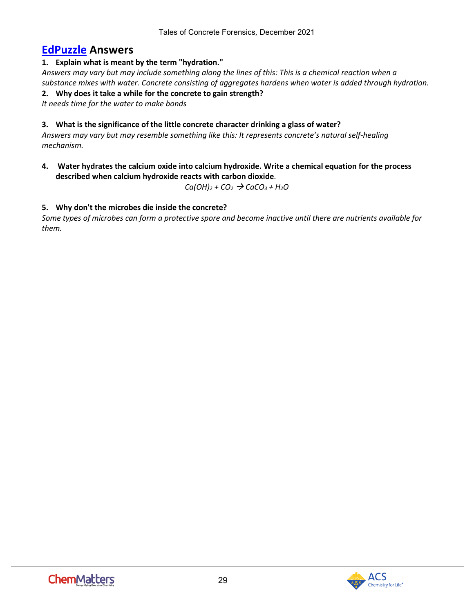### **[EdPuzzle](https://edpuzzle.com/media/6192e4011ae0394171078b0a) Answers**

#### **1. Explain what is meant by the term "hydration."**

*Answers may vary but may include something along the lines of this: This is a chemical reaction when a substance mixes with water. Concrete consisting of aggregates hardens when water is added through hydration.*

**2. Why does it take a while for the concrete to gain strength?**

*It needs time for the water to make bonds*

#### **3. What is the significance of the little concrete character drinking a glass of water?**

*Answers may vary but may resemble something like this: It represents concrete's natural self-healing mechanism.*

**4. Water hydrates the calcium oxide into calcium hydroxide. Write a chemical equation for the process described when calcium hydroxide reacts with carbon dioxide**.

 $Ca(OH)_2 + CO_2 \rightarrow CaCO_3 + H_2O$ 

#### **5. Why don't the microbes die inside the concrete?**

*Some types of microbes can form a protective spore and become inactive until there are nutrients available for them.*

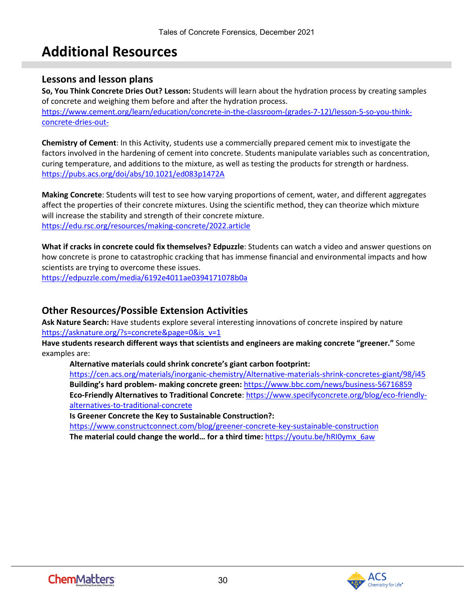# **Additional Resources**

#### <span id="page-29-0"></span>**Lessons and lesson plans**

**So, You Think Concrete Dries Out? Lesson:** Students will learn about the hydration process by creating samples of concrete and weighing them before and after the hydration process. [https://www.cement.org/learn/education/concrete-in-the-classroom-\(grades-7-12\)/lesson-5-so-you-think](https://www.cement.org/learn/education/concrete-in-the-classroom-(grades-7-12)/lesson-5-so-you-think-concrete-dries-out-)[concrete-dries-out-](https://www.cement.org/learn/education/concrete-in-the-classroom-(grades-7-12)/lesson-5-so-you-think-concrete-dries-out-)

**Chemistry of Cement**: In this Activity, students use a commercially prepared cement mix to investigate the factors involved in the hardening of cement into concrete. Students manipulate variables such as concentration, curing temperature, and additions to the mixture, as well as testing the products for strength or hardness. <https://pubs.acs.org/doi/abs/10.1021/ed083p1472A>

**Making Concrete**: Students will test to see how varying proportions of cement, water, and different aggregates affect the properties of their concrete mixtures. Using the scientific method, they can theorize which mixture will increase the stability and strength of their concrete mixture. <https://edu.rsc.org/resources/making-concrete/2022.article>

**What if cracks in concrete could fix themselves? Edpuzzle**: Students can watch a video and answer questions on how concrete is prone to catastrophic cracking that has immense financial and environmental impacts and how scientists are trying to overcome these issues.

<https://edpuzzle.com/media/6192e4011ae0394171078b0a>

#### **Other Resources/Possible Extension Activities**

**Ask Nature Search:** Have students explore several interesting innovations of concrete inspired by nature [https://asknature.org/?s=concrete&page=0&is\\_v=1](https://asknature.org/?s=concrete&page=0&is_v=1)

**Have students research different ways that scientists and engineers are making concrete "greener."** Some examples are:

**Alternative materials could shrink concrete's giant carbon footprint:** 

<https://cen.acs.org/materials/inorganic-chemistry/Alternative-materials-shrink-concretes-giant/98/i45> **Building's hard problem- making concrete green:** <https://www.bbc.com/news/business-56716859> **Eco-Friendly Alternatives to Traditional Concrete**: [https://www.specifyconcrete.org/blog/eco-friendly](https://www.specifyconcrete.org/blog/eco-friendly-alternatives-to-traditional-concrete)[alternatives-to-traditional-concrete](https://www.specifyconcrete.org/blog/eco-friendly-alternatives-to-traditional-concrete)

**Is Greener Concrete the Key to Sustainable Construction?:**

<https://www.constructconnect.com/blog/greener-concrete-key-sustainable-construction> **The material could change the world… for a third time:** [https://youtu.be/hRI0ymx\\_6aw](https://youtu.be/hRI0ymx_6aw)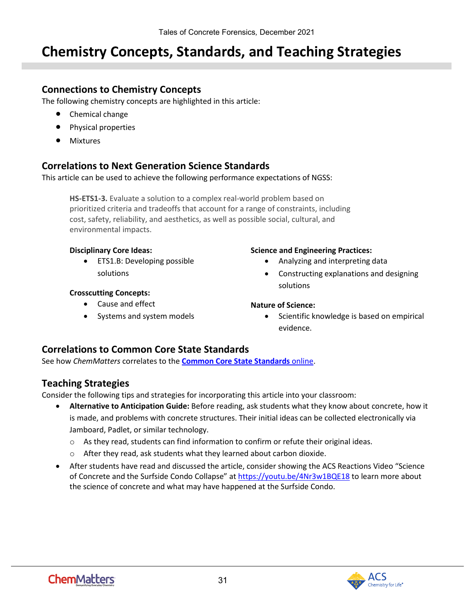# <span id="page-30-0"></span>**Chemistry Concepts, Standards, and Teaching Strategies**

#### **Connections to Chemistry Concepts**

The following chemistry concepts are highlighted in this article:

- Chemical change
- Physical properties
- Mixtures

#### **Correlations to Next Generation Science Standards**

This article can be used to achieve the following performance expectations of NGSS:

**HS-ETS1-3.** Evaluate a solution to a complex real-world problem based on prioritized criteria and tradeoffs that account for a range of constraints, including cost, safety, reliability, and aesthetics, as well as possible social, cultural, and environmental impacts.

#### **Disciplinary Core Ideas:**

• ETS1.B: Developing possible solutions

#### **Crosscutting Concepts:**

- Cause and effect
- Systems and system models

#### **Science and Engineering Practices:**

- Analyzing and interpreting data
- Constructing explanations and designing solutions

#### **Nature of Science:**

• Scientific knowledge is based on empirical evidence.

#### **Correlations to Common Core State Standards**

See how *ChemMatters* correlates to the **[Common Core State Standards](https://www.acs.org/content/acs/en/education/resources/highschool/chemmatters/teachers-guide.html)** online.

#### **Teaching Strategies**

Consider the following tips and strategies for incorporating this article into your classroom:

- **Alternative to Anticipation Guide:** Before reading, ask students what they know about concrete, how it is made, and problems with concrete structures. Their initial ideas can be collected electronically via Jamboard, Padlet, or similar technology.
	- $\circ$  As they read, students can find information to confirm or refute their original ideas.
	- $\circ$  After they read, ask students what they learned about carbon dioxide.
- After students have read and discussed the article, consider showing the ACS Reactions Video "Science of Concrete and the Surfside Condo Collapse" a[t https://youtu.be/4Nr3w1BQE18](https://youtu.be/4Nr3w1BQE18) to learn more about the science of concrete and what may have happened at the Surfside Condo.

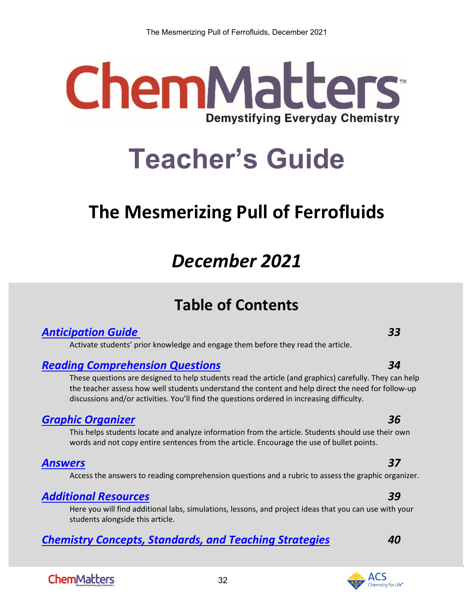# **ChemMatters Demystifying Everyday Chemistry**

# **Teacher's Guide**

# <span id="page-31-0"></span>**The Mesmerizing Pull of Ferrofluids**

# *December 2021*

# **Table of Contents**

### *[Anticipation Guide 3](#page-32-0)3*

Activate students' prior knowledge and engage them before they read the article.

### *[Reading Comprehension Questions](#page-33-0) 34*

These questions are designed to help students read the article (and graphics) carefully. They can help the teacher assess how well students understand the content and help direct the need for follow-up discussions and/or activities. You'll find the questions ordered in increasing difficulty.

### *[Graphic Organizer](#page-35-0) 36*

This helps students locate and analyze information from the article. Students should use their own words and not copy entire sentences from the article. Encourage the use of bullet points.

### *[Answers](#page-36-0) 37*

Access the answers to reading comprehension questions and a rubric to assess the graphic organizer.

### *[Additional Resources](#page-38-0) 39*

Here you will find additional labs, simulations, lessons, and project ideas that you can use with your students alongside this article.

32

### *[Chemistry Concepts, Standards, and Teaching Strategies](#page-39-0) 40*

# **ChemMatters**

#### **ACS** Themistry for Life®

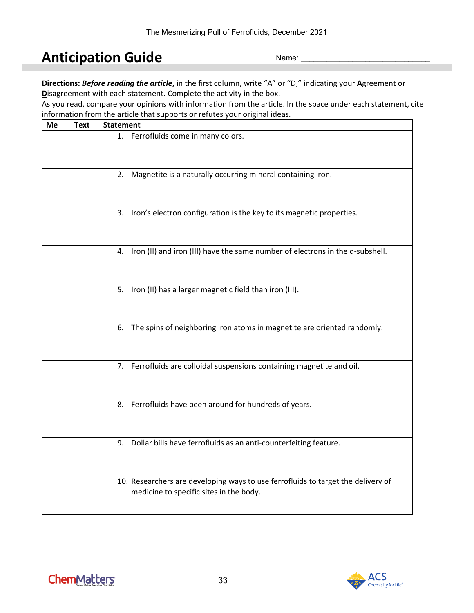# <span id="page-32-0"></span>**Anticipation Guide**

Name:

**Directions:** *Before reading the article***,** in the first column, write "A" or "D," indicating your **A**greement or **D**isagreement with each statement. Complete the activity in the box.

As you read, compare your opinions with information from the article. In the space under each statement, cite information from the article that supports or refutes your original ideas.

| Me | <b>Text</b> | <b>Statement</b>                                                                                                            |
|----|-------------|-----------------------------------------------------------------------------------------------------------------------------|
|    |             | 1. Ferrofluids come in many colors.                                                                                         |
|    |             | 2. Magnetite is a naturally occurring mineral containing iron.                                                              |
|    |             | 3. Iron's electron configuration is the key to its magnetic properties.                                                     |
|    |             | 4. Iron (II) and iron (III) have the same number of electrons in the d-subshell.                                            |
|    |             | 5. Iron (II) has a larger magnetic field than iron (III).                                                                   |
|    |             | 6. The spins of neighboring iron atoms in magnetite are oriented randomly.                                                  |
|    |             | 7. Ferrofluids are colloidal suspensions containing magnetite and oil.                                                      |
|    |             | 8. Ferrofluids have been around for hundreds of years.                                                                      |
|    |             | 9. Dollar bills have ferrofluids as an anti-counterfeiting feature.                                                         |
|    |             | 10. Researchers are developing ways to use ferrofluids to target the delivery of<br>medicine to specific sites in the body. |

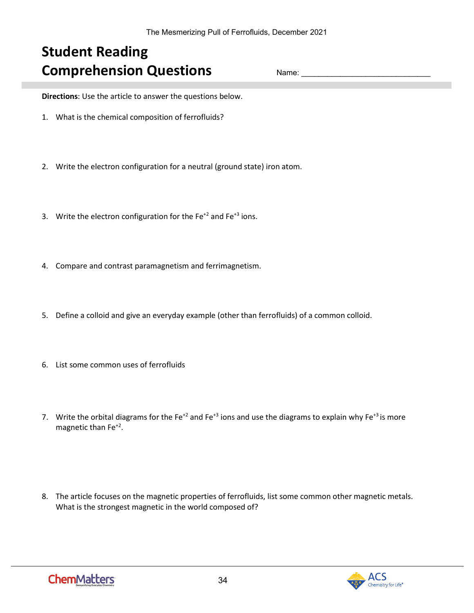# <span id="page-33-0"></span>**Student Reading Comprehension Questions**

Name:

**Directions**: Use the article to answer the questions below.

- 1. What is the chemical composition of ferrofluids?
- 2. Write the electron configuration for a neutral (ground state) iron atom.
- 3. Write the electron configuration for the  $Fe^{+2}$  and  $Fe^{+3}$  ions.
- 4. Compare and contrast paramagnetism and ferrimagnetism.
- 5. Define a colloid and give an everyday example (other than ferrofluids) of a common colloid.
- 6. List some common uses of ferrofluids
- 7. Write the orbital diagrams for the Fe<sup>+2</sup> and Fe<sup>+3</sup> ions and use the diagrams to explain why Fe<sup>+3</sup> is more magnetic than Fe+2.
- 8. The article focuses on the magnetic properties of ferrofluids, list some common other magnetic metals. What is the strongest magnetic in the world composed of?

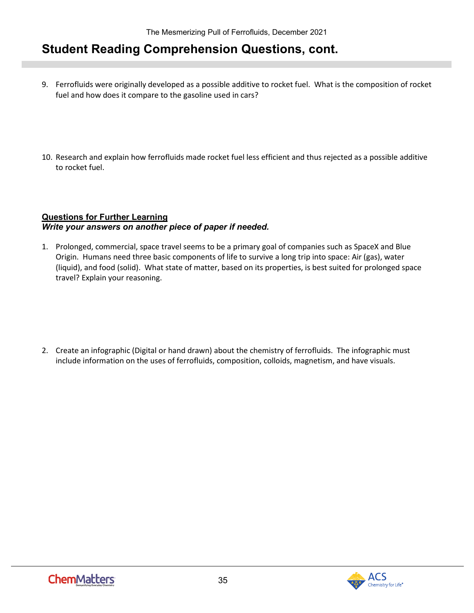## **Student Reading Comprehension Questions, cont.**

- 9. Ferrofluids were originally developed as a possible additive to rocket fuel. What is the composition of rocket fuel and how does it compare to the gasoline used in cars?
- 10. Research and explain how ferrofluids made rocket fuel less efficient and thus rejected as a possible additive to rocket fuel.

#### **Questions for Further Learning**  *Write your answers on another piece of paper if needed.*

1. Prolonged, commercial, space travel seems to be a primary goal of companies such as SpaceX and Blue Origin. Humans need three basic components of life to survive a long trip into space: Air (gas), water (liquid), and food (solid). What state of matter, based on its properties, is best suited for prolonged space travel? Explain your reasoning.

2. Create an infographic (Digital or hand drawn) about the chemistry of ferrofluids. The infographic must include information on the uses of ferrofluids, composition, colloids, magnetism, and have visuals.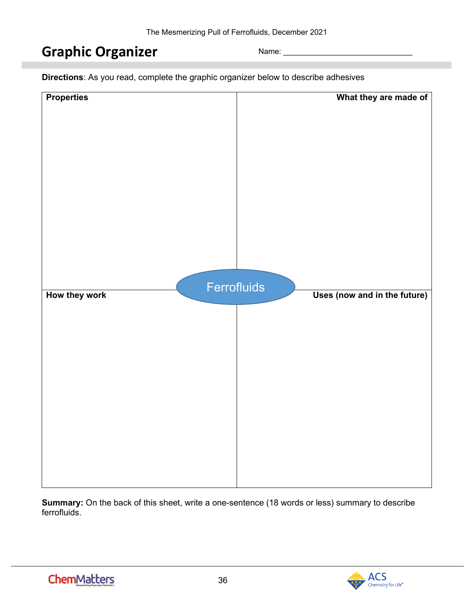# <span id="page-35-0"></span>**Graphic Organizer**

Name:

**Directions**: As you read, complete the graphic organizer below to describe adhesives

| <b>Properties</b>            | What they are made of        |
|------------------------------|------------------------------|
| Ferrofluids<br>How they work | Uses (now and in the future) |
|                              |                              |

**Summary:** On the back of this sheet, write a one-sentence (18 words or less) summary to describe ferrofluids.

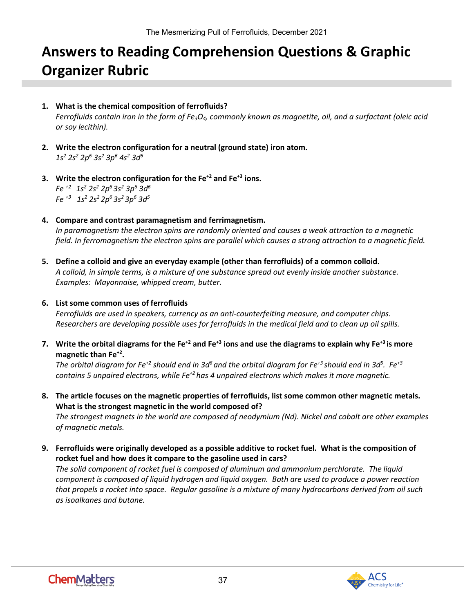# <span id="page-36-0"></span>**Answers to Reading Comprehension Questions & Graphic Organizer Rubric**

- **1. What is the chemical composition of ferrofluids?** *Ferrofluids contain iron in the form of Fe3O4, commonly known as magnetite, oil, and a surfactant (oleic acid or soy lecithin).*
- **2. Write the electron configuration for a neutral (ground state) iron atom.** *1s2 2s2 2p6 3s2 3p6 4s2 3d6*
- **3. Write the electron configuration for the Fe+2 and Fe+3 ions.** *Fe +2 1s2 2s2 2p6 3s2 3p6 3d6 Fe +3 1s2 2s2 2p6 3s2 3p6 3d5*
- **4. Compare and contrast paramagnetism and ferrimagnetism.**  *In paramagnetism the electron spins are randomly oriented and causes a weak attraction to a magnetic field. In ferromagnetism the electron spins are parallel which causes a strong attraction to a magnetic field.*
- **5. Define a colloid and give an everyday example (other than ferrofluids) of a common colloid.**  *A colloid, in simple terms, is a mixture of one substance spread out evenly inside another substance. Examples: Mayonnaise, whipped cream, butter.*

#### **6. List some common uses of ferrofluids**

*Ferrofluids are used in speakers, currency as an anti-counterfeiting measure, and computer chips. Researchers are developing possible uses for ferrofluids in the medical field and to clean up oil spills.*

**7.** Write the orbital diagrams for the Fe<sup>+2</sup> and Fe<sup>+3</sup> ions and use the diagrams to explain why Fe<sup>+3</sup> is more **magnetic than Fe+2.** 

The orbital diagram for Fe<sup>+2</sup> should end in 3d<sup>6</sup> and the orbital diagram for Fe<sup>+3</sup> should end in 3d<sup>5</sup>. Fe<sup>+3</sup> *contains 5 unpaired electrons, while Fe+2 has 4 unpaired electrons which makes it more magnetic.*

**8. The article focuses on the magnetic properties of ferrofluids, list some common other magnetic metals. What is the strongest magnetic in the world composed of?**

*The strongest magnets in the world are composed of neodymium (Nd). Nickel and cobalt are other examples of magnetic metals.*

**9. Ferrofluids were originally developed as a possible additive to rocket fuel. What is the composition of rocket fuel and how does it compare to the gasoline used in cars?** *The solid component of rocket fuel is composed of aluminum and ammonium perchlorate. The liquid component is composed of liquid hydrogen and liquid oxygen. Both are used to produce a power reaction that propels a rocket into space. Regular gasoline is a mixture of many hydrocarbons derived from oil such as isoalkanes and butane.* 

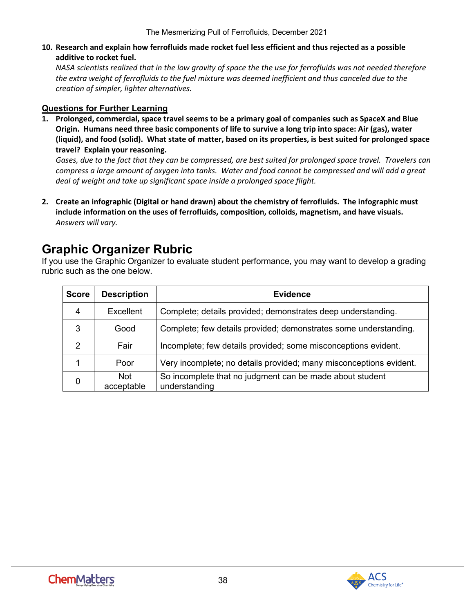**10. Research and explain how ferrofluids made rocket fuel less efficient and thus rejected as a possible additive to rocket fuel.**

*NASA scientists realized that in the low gravity of space the the use for ferrofluids was not needed therefore the extra weight of ferrofluids to the fuel mixture was deemed inefficient and thus canceled due to the creation of simpler, lighter alternatives.* 

#### **Questions for Further Learning**

**1. Prolonged, commercial, space travel seems to be a primary goal of companies such as SpaceX and Blue Origin. Humans need three basic components of life to survive a long trip into space: Air (gas), water (liquid), and food (solid). What state of matter, based on its properties, is best suited for prolonged space travel? Explain your reasoning.**

*Gases, due to the fact that they can be compressed, are best suited for prolonged space travel. Travelers can compress a large amount of oxygen into tanks. Water and food cannot be compressed and will add a great deal of weight and take up significant space inside a prolonged space flight.* 

**2. Create an infographic (Digital or hand drawn) about the chemistry of ferrofluids. The infographic must include information on the uses of ferrofluids, composition, colloids, magnetism, and have visuals.**  *Answers will vary.* 

# **Graphic Organizer Rubric**

If you use the Graphic Organizer to evaluate student performance, you may want to develop a grading rubric such as the one below.

| <b>Score</b>  | <b>Description</b>       | <b>Evidence</b>                                                           |
|---------------|--------------------------|---------------------------------------------------------------------------|
| 4             | Excellent                | Complete; details provided; demonstrates deep understanding.              |
| 3             | Good                     | Complete; few details provided; demonstrates some understanding.          |
| $\mathcal{P}$ | Fair                     | Incomplete; few details provided; some misconceptions evident.            |
|               | Poor                     | Very incomplete; no details provided; many misconceptions evident.        |
| 0             | <b>Not</b><br>acceptable | So incomplete that no judgment can be made about student<br>understanding |

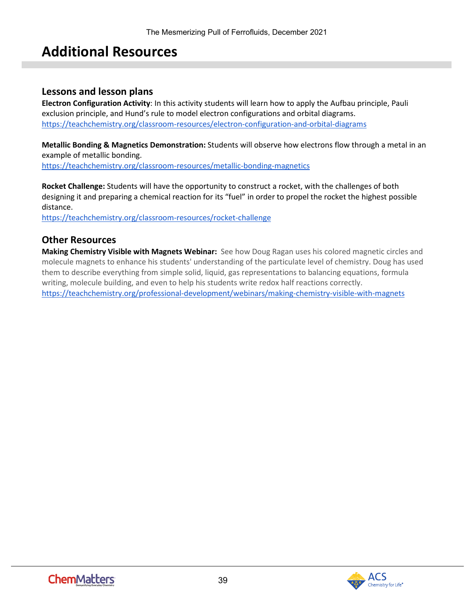# **Additional Resources**

#### <span id="page-38-0"></span>**Lessons and lesson plans**

**Electron Configuration Activity**: In this activity students will learn how to apply the Aufbau principle, Pauli exclusion principle, and Hund's rule to model electron configurations and orbital diagrams. <https://teachchemistry.org/classroom-resources/electron-configuration-and-orbital-diagrams>

**Metallic Bonding & Magnetics Demonstration:** Students will observe how electrons flow through a metal in an example of metallic bonding.

<https://teachchemistry.org/classroom-resources/metallic-bonding-magnetics>

**Rocket Challenge:** Students will have the opportunity to construct a rocket, with the challenges of both designing it and preparing a chemical reaction for its "fuel" in order to propel the rocket the highest possible distance.

<https://teachchemistry.org/classroom-resources/rocket-challenge>

#### **Other Resources**

**Making Chemistry Visible with Magnets Webinar:** See how Doug Ragan uses his colored magnetic circles and molecule magnets to enhance his students' understanding of the particulate level of chemistry. Doug has used them to describe everything from simple solid, liquid, gas representations to balancing equations, formula writing, molecule building, and even to help his students write redox half reactions correctly. <https://teachchemistry.org/professional-development/webinars/making-chemistry-visible-with-magnets>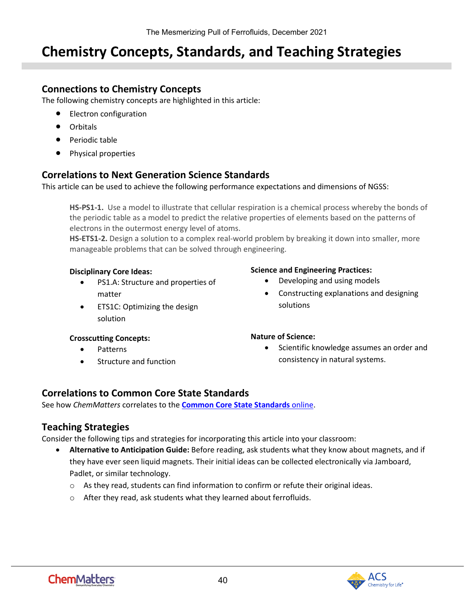# <span id="page-39-0"></span>**Chemistry Concepts, Standards, and Teaching Strategies**

#### **Connections to Chemistry Concepts**

The following chemistry concepts are highlighted in this article:

- Electron configuration
- Orbitals
- Periodic table
- Physical properties

#### **Correlations to Next Generation Science Standards**

This article can be used to achieve the following performance expectations and dimensions of NGSS:

**HS-PS1-1.** Use a model to illustrate that cellular respiration is a chemical process whereby the bonds of the periodic table as a model to predict the relative properties of elements based on the patterns of electrons in the outermost energy level of atoms.

**HS-ETS1-2.** Design a solution to a complex real-world problem by breaking it down into smaller, more manageable problems that can be solved through engineering.

#### **Disciplinary Core Ideas:**

- PS1.A: Structure and properties of matter
- ETS1C: Optimizing the design solution

#### **Crosscutting Concepts:**

- Patterns
- Structure and function

#### **Science and Engineering Practices:**

- Developing and using models
- Constructing explanations and designing solutions

#### **Nature of Science:**

• Scientific knowledge assumes an order and consistency in natural systems.

### **Correlations to Common Core State Standards**

See how *ChemMatters* correlates to the **[Common Core State Standards](https://www.acs.org/content/acs/en/education/resources/highschool/chemmatters/teachers-guide.html)** online.

### **Teaching Strategies**

Consider the following tips and strategies for incorporating this article into your classroom:

- **Alternative to Anticipation Guide:** Before reading, ask students what they know about magnets, and if they have ever seen liquid magnets. Their initial ideas can be collected electronically via Jamboard, Padlet, or similar technology.
	- $\circ$  As they read, students can find information to confirm or refute their original ideas.
	- o After they read, ask students what they learned about ferrofluids.